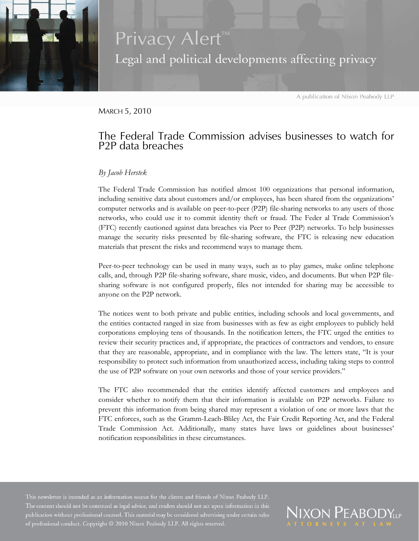

## Privacy Alert<sup>™</sup> Legal and political developments affecting privacy

A publication of Nixon Peabody LLP

MARCH 5, 2010

## The Federal Trade Commission advises businesses to watch for P2P data breaches

## *By Jacob Herstek*

The Federal Trade Commission has notified almost 100 organizations that personal information, including sensitive data about customers and/or employees, has been shared from the organizations' computer networks and is available on peer-to-peer (P2P) file-sharing networks to any users of those networks, who could use it to commit identity theft or fraud. The Feder al Trade Commission's (FTC) recently cautioned against data breaches via Peer to Peer (P2P) networks. To help businesses manage the security risks presented by file-sharing software, the FTC is releasing new education materials that present the risks and recommend ways to manage them.

Peer-to-peer technology can be used in many ways, such as to play games, make online telephone calls, and, through P2P file-sharing software, share music, video, and documents. But when P2P filesharing software is not configured properly, files not intended for sharing may be accessible to anyone on the P2P network.

The notices went to both private and public entities, including schools and local governments, and the entities contacted ranged in size from businesses with as few as eight employees to publicly held corporations employing tens of thousands. In the notification letters, the FTC urged the entities to review their security practices and, if appropriate, the practices of contractors and vendors, to ensure that they are reasonable, appropriate, and in compliance with the law. The letters state, "It is your responsibility to protect such information from unauthorized access, including taking steps to control the use of P2P software on your own networks and those of your service providers."

The FTC also recommended that the entities identify affected customers and employees and consider whether to notify them that their information is available on P2P networks. Failure to prevent this information from being shared may represent a violation of one or more laws that the FTC enforces, such as the Gramm-Leach-Bliley Act, the Fair Credit Reporting Act, and the Federal Trade Commission Act. Additionally, many states have laws or guidelines about businesses' notification responsibilities in these circumstances.

The content should not be construed as legal advice, and readers should not act upon information in this publication without professional counsel. This material may be considered advertising under certain rules of professional conduct. Copyright @ 2010 Nixon Peabody LLP. All rights reserved.

**VIXON PEABODY**LLP